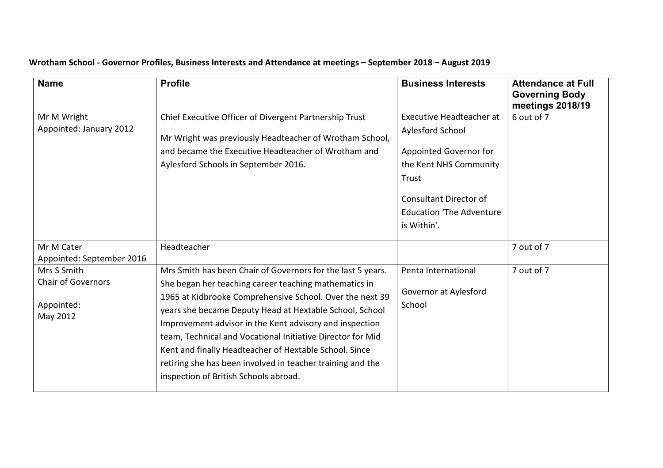| <b>Name</b>                                                        | <b>Profile</b>                                                                                                                                                                                                                                                                                                                                                                                                                                                                                                                        | <b>Business Interests</b>                                                                                                                                                                           | <b>Attendance at Full</b><br><b>Governing Body</b><br>meetings 2018/19 |
|--------------------------------------------------------------------|---------------------------------------------------------------------------------------------------------------------------------------------------------------------------------------------------------------------------------------------------------------------------------------------------------------------------------------------------------------------------------------------------------------------------------------------------------------------------------------------------------------------------------------|-----------------------------------------------------------------------------------------------------------------------------------------------------------------------------------------------------|------------------------------------------------------------------------|
| Mr M Wright<br>Appointed: January 2012                             | Chief Executive Officer of Divergent Partnership Trust<br>Mr Wright was previously Headteacher of Wrotham School,<br>and became the Executive Headteacher of Wrotham and<br>Aylesford Schools in September 2016.                                                                                                                                                                                                                                                                                                                      | <b>Executive Headteacher at</b><br>Aylesford School<br>Appointed Governor for<br>the Kent NHS Community<br>Trust<br><b>Consultant Director of</b><br><b>Education 'The Adventure</b><br>is Within'. | 6 out of 7                                                             |
| Mr M Cater<br>Appointed: September 2016                            | Headteacher                                                                                                                                                                                                                                                                                                                                                                                                                                                                                                                           |                                                                                                                                                                                                     | 7 out of 7                                                             |
| Mrs S Smith<br><b>Chair of Governors</b><br>Appointed:<br>May 2012 | Mrs Smith has been Chair of Governors for the last 5 years.<br>She began her teaching career teaching mathematics in<br>1965 at Kidbrooke Comprehensive School. Over the next 39<br>years she became Deputy Head at Hextable School, School<br>Improvement advisor in the Kent advisory and inspection<br>team, Technical and Vocational Initiative Director for Mid<br>Kent and finally Headteacher of Hextable School. Since<br>retiring she has been involved in teacher training and the<br>inspection of British Schools abroad. | Penta International<br>Governor at Aylesford<br>School                                                                                                                                              | 7 out of 7                                                             |

## **Wrotham School - Governor Profiles, Business Interests and Attendance at meetings – September 2018 – August 2019**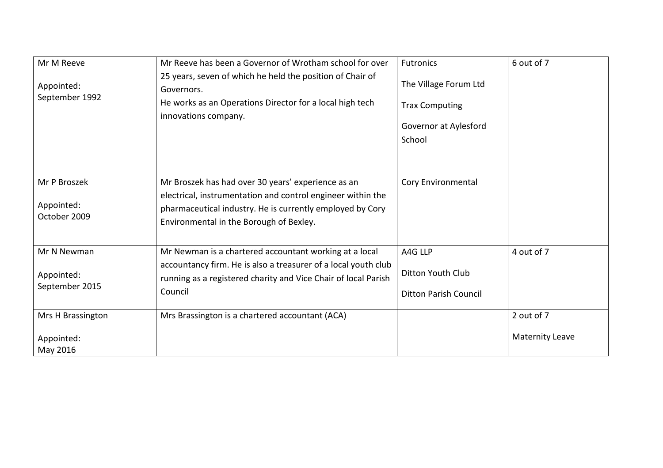| Mr M Reeve<br>Appointed:<br>September 1992  | Mr Reeve has been a Governor of Wrotham school for over<br>25 years, seven of which he held the position of Chair of<br>Governors.<br>He works as an Operations Director for a local high tech<br>innovations company.    | <b>Futronics</b><br>The Village Forum Ltd<br><b>Trax Computing</b><br>Governor at Aylesford<br>School | 6 out of 7                           |
|---------------------------------------------|---------------------------------------------------------------------------------------------------------------------------------------------------------------------------------------------------------------------------|-------------------------------------------------------------------------------------------------------|--------------------------------------|
| Mr P Broszek<br>Appointed:<br>October 2009  | Mr Broszek has had over 30 years' experience as an<br>electrical, instrumentation and control engineer within the<br>pharmaceutical industry. He is currently employed by Cory<br>Environmental in the Borough of Bexley. | Cory Environmental                                                                                    |                                      |
| Mr N Newman<br>Appointed:<br>September 2015 | Mr Newman is a chartered accountant working at a local<br>accountancy firm. He is also a treasurer of a local youth club<br>running as a registered charity and Vice Chair of local Parish<br>Council                     | A4G LLP<br>Ditton Youth Club<br><b>Ditton Parish Council</b>                                          | 4 out of 7                           |
| Mrs H Brassington<br>Appointed:<br>May 2016 | Mrs Brassington is a chartered accountant (ACA)                                                                                                                                                                           |                                                                                                       | 2 out of 7<br><b>Maternity Leave</b> |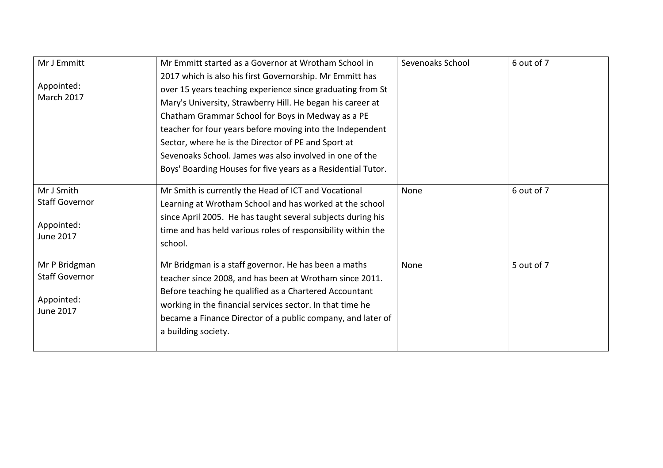| Mr J Emmitt                                                              | Mr Emmitt started as a Governor at Wrotham School in                                                                                                                                                                                                                                                                         | Sevenoaks School | 6 out of 7 |
|--------------------------------------------------------------------------|------------------------------------------------------------------------------------------------------------------------------------------------------------------------------------------------------------------------------------------------------------------------------------------------------------------------------|------------------|------------|
|                                                                          | 2017 which is also his first Governorship. Mr Emmitt has                                                                                                                                                                                                                                                                     |                  |            |
| Appointed:<br>March 2017                                                 | over 15 years teaching experience since graduating from St                                                                                                                                                                                                                                                                   |                  |            |
|                                                                          | Mary's University, Strawberry Hill. He began his career at                                                                                                                                                                                                                                                                   |                  |            |
|                                                                          | Chatham Grammar School for Boys in Medway as a PE                                                                                                                                                                                                                                                                            |                  |            |
|                                                                          | teacher for four years before moving into the Independent                                                                                                                                                                                                                                                                    |                  |            |
|                                                                          | Sector, where he is the Director of PE and Sport at                                                                                                                                                                                                                                                                          |                  |            |
|                                                                          | Sevenoaks School. James was also involved in one of the                                                                                                                                                                                                                                                                      |                  |            |
|                                                                          | Boys' Boarding Houses for five years as a Residential Tutor.                                                                                                                                                                                                                                                                 |                  |            |
| Mr J Smith<br><b>Staff Governor</b><br>Appointed:<br>June 2017           | Mr Smith is currently the Head of ICT and Vocational<br>Learning at Wrotham School and has worked at the school<br>since April 2005. He has taught several subjects during his<br>time and has held various roles of responsibility within the<br>school.                                                                    | None             | 6 out of 7 |
| Mr P Bridgman<br><b>Staff Governor</b><br>Appointed:<br><b>June 2017</b> | Mr Bridgman is a staff governor. He has been a maths<br>teacher since 2008, and has been at Wrotham since 2011.<br>Before teaching he qualified as a Chartered Accountant<br>working in the financial services sector. In that time he<br>became a Finance Director of a public company, and later of<br>a building society. | None             | 5 out of 7 |